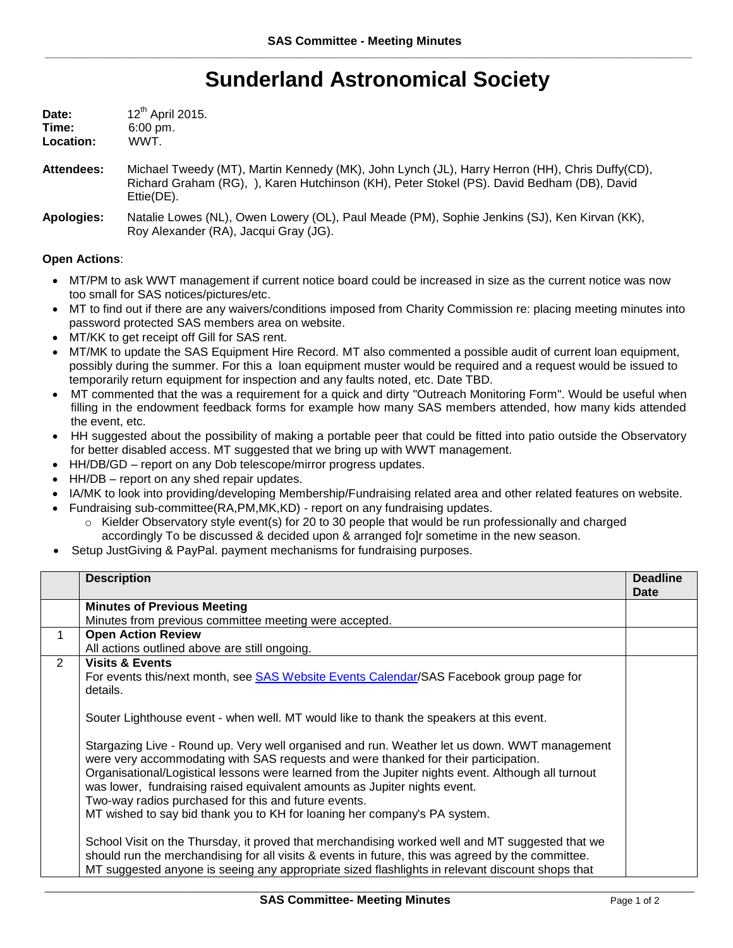## **Sunderland Astronomical Society**

| Date:     | 12 <sup>th</sup> April 2015. |
|-----------|------------------------------|
| Time:     | $6:00 \text{ pm}$ .          |
| Location: | WWT.                         |

- **Attendees:** Michael Tweedy (MT), Martin Kennedy (MK), John Lynch (JL), Harry Herron (HH), Chris Duffy(CD), Richard Graham (RG), ), Karen Hutchinson (KH), Peter Stokel (PS). David Bedham (DB), David Ettie(DE).
- **Apologies:** Natalie Lowes (NL), Owen Lowery (OL), Paul Meade (PM), Sophie Jenkins (SJ), Ken Kirvan (KK), Roy Alexander (RA), Jacqui Gray (JG).

## **Open Actions**:

- MT/PM to ask WWT management if current notice board could be increased in size as the current notice was now too small for SAS notices/pictures/etc.
- MT to find out if there are any waivers/conditions imposed from Charity Commission re: placing meeting minutes into password protected SAS members area on website.
- MT/KK to get receipt off Gill for SAS rent.
- MT/MK to update the SAS Equipment Hire Record. MT also commented a possible audit of current loan equipment, possibly during the summer. For this a loan equipment muster would be required and a request would be issued to temporarily return equipment for inspection and any faults noted, etc. Date TBD.
- MT commented that the was a requirement for a quick and dirty "Outreach Monitoring Form". Would be useful when filling in the endowment feedback forms for example how many SAS members attended, how many kids attended the event, etc.
- HH suggested about the possibility of making a portable peer that could be fitted into patio outside the Observatory for better disabled access. MT suggested that we bring up with WWT management.
- HH/DB/GD report on any Dob telescope/mirror progress updates.
- HH/DB report on any shed repair updates.
- IA/MK to look into providing/developing Membership/Fundraising related area and other related features on website.
	- Fundraising sub-committee(RA,PM,MK,KD) report on any fundraising updates.
		- $\circ$  Kielder Observatory style event(s) for 20 to 30 people that would be run professionally and charged accordingly To be discussed & decided upon & arranged fo]r sometime in the new season.
- Setup JustGiving & PayPal. payment mechanisms for fundraising purposes.

|   | <b>Description</b>                                                                                                                                                                                                                                                                                                                                                                                          | <b>Deadline</b><br><b>Date</b> |
|---|-------------------------------------------------------------------------------------------------------------------------------------------------------------------------------------------------------------------------------------------------------------------------------------------------------------------------------------------------------------------------------------------------------------|--------------------------------|
|   | <b>Minutes of Previous Meeting</b>                                                                                                                                                                                                                                                                                                                                                                          |                                |
|   | Minutes from previous committee meeting were accepted.                                                                                                                                                                                                                                                                                                                                                      |                                |
| 1 | <b>Open Action Review</b>                                                                                                                                                                                                                                                                                                                                                                                   |                                |
|   | All actions outlined above are still ongoing.                                                                                                                                                                                                                                                                                                                                                               |                                |
| 2 | <b>Visits &amp; Events</b><br>For events this/next month, see SAS Website Events Calendar/SAS Facebook group page for<br>details.                                                                                                                                                                                                                                                                           |                                |
|   | Souter Lighthouse event - when well. MT would like to thank the speakers at this event.<br>Stargazing Live - Round up. Very well organised and run. Weather let us down. WWT management                                                                                                                                                                                                                     |                                |
|   | were very accommodating with SAS requests and were thanked for their participation.<br>Organisational/Logistical lessons were learned from the Jupiter nights event. Although all turnout<br>was lower, fundraising raised equivalent amounts as Jupiter nights event.<br>Two-way radios purchased for this and future events.<br>MT wished to say bid thank you to KH for loaning her company's PA system. |                                |
|   | School Visit on the Thursday, it proved that merchandising worked well and MT suggested that we<br>should run the merchandising for all visits & events in future, this was agreed by the committee.<br>MT suggested anyone is seeing any appropriate sized flashlights in relevant discount shops that                                                                                                     |                                |

\_\_\_\_\_\_\_\_\_\_\_\_\_\_\_\_\_\_\_\_\_\_\_\_\_\_\_\_\_\_\_\_\_\_\_\_\_\_\_\_\_\_\_\_\_\_\_\_\_\_\_\_\_\_\_\_\_\_\_\_\_\_\_\_\_\_\_\_\_\_\_\_\_\_\_\_\_\_\_\_\_\_\_\_\_\_\_\_\_\_\_\_\_\_\_\_\_\_\_\_\_\_\_\_\_\_\_\_\_\_\_\_\_\_\_\_\_\_\_\_\_\_